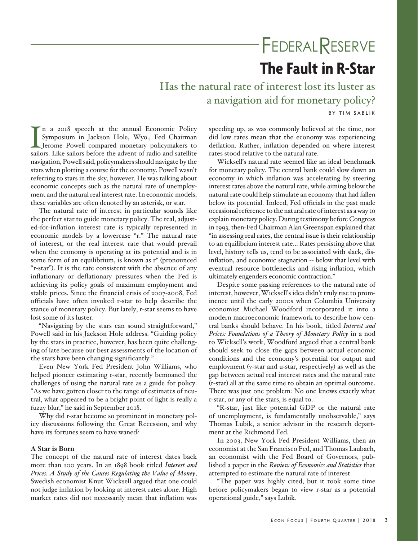# **FEDERALRESERVE**

# **The Fault in R-Star**

Has the natural rate of interest lost its luster as a navigation aid for monetary policy? BY TIM SABLIK

I<br>sailc n a 2018 speech at the annual Economic Policy Symposium in Jackson Hole, Wyo., Fed Chairman Jerome Powell compared monetary policymakers to sailors. Like sailors before the advent of radio and satellite navigation, Powell said, policymakers should navigate by the stars when plotting a course for the economy. Powell wasn't referring to stars in the sky, however. He was talking about economic concepts such as the natural rate of unemployment and the natural real interest rate. In economic models, these variables are often denoted by an asterisk, or star.

The natural rate of interest in particular sounds like the perfect star to guide monetary policy. The real, adjusted-for-inflation interest rate is typically represented in economic models by a lowercase "r." The natural rate of interest, or the real interest rate that would prevail when the economy is operating at its potential and is in some form of an equilibrium, is known as r\* (pronounced "r-star"). It is the rate consistent with the absence of any inflationary or deflationary pressures when the Fed is achieving its policy goals of maximum employment and stable prices. Since the financial crisis of 2007-2008, Fed officials have often invoked r-star to help describe the stance of monetary policy. But lately, r-star seems to have lost some of its luster.

"Navigating by the stars can sound straightforward," Powell said in his Jackson Hole address. "Guiding policy by the stars in practice, however, has been quite challenging of late because our best assessments of the location of the stars have been changing significantly."

Even New York Fed President John Williams, who helped pioneer estimating r-star, recently bemoaned the challenges of using the natural rate as a guide for policy. "As we have gotten closer to the range of estimates of neutral, what appeared to be a bright point of light is really a fuzzy blur," he said in September 2018.

Why did r-star become so prominent in monetary policy discussions following the Great Recession, and why have its fortunes seem to have waned?

## **A Star is Born**

The concept of the natural rate of interest dates back more than 100 years. In an 1898 book titled *Interest and Prices: A Study of the Causes Regulating the Value of Money*, Swedish economist Knut Wicksell argued that one could not judge inflation by looking at interest rates alone. High market rates did not necessarily mean that inflation was

speeding up, as was commonly believed at the time, nor did low rates mean that the economy was experiencing deflation. Rather, inflation depended on where interest rates stood relative to the natural rate.

Wicksell's natural rate seemed like an ideal benchmark for monetary policy. The central bank could slow down an economy in which inflation was accelerating by steering interest rates above the natural rate, while aiming below the natural rate could help stimulate an economy that had fallen below its potential. Indeed, Fed officials in the past made occasional reference to the natural rate of interest as a way to explain monetary policy. During testimony before Congress in 1993, then-Fed Chairman Alan Greenspan explained that "in assessing real rates, the central issue is their relationship to an equilibrium interest rate… Rates persisting above that level, history tells us, tend to be associated with slack, disinflation, and economic stagnation -- below that level with eventual resource bottlenecks and rising inflation, which ultimately engenders economic contraction."

Despite some passing references to the natural rate of interest, however, Wicksell's idea didn't truly rise to prominence until the early 2000s when Columbia University economist Michael Woodford incorporated it into a modern macroeconomic framework to describe how central banks should behave. In his book, titled *Interest and Prices: Foundations of a Theory of Monetary Policy* in a nod to Wicksell's work, Woodford argued that a central bank should seek to close the gaps between actual economic conditions and the economy's potential for output and employment (y-star and u-star, respectively) as well as the gap between actual real interest rates and the natural rate (r-star) all at the same time to obtain an optimal outcome. There was just one problem: No one knows exactly what r-star, or any of the stars, is equal to.

"R-star, just like potential GDP or the natural rate of unemployment, is fundamentally unobservable," says Thomas Lubik, a senior advisor in the research department at the Richmond Fed.

In 2003, New York Fed President Williams, then an economist at the San Francisco Fed, and Thomas Laubach, an economist with the Fed Board of Governors, published a paper in the *Review of Economics and Statistics* that attempted to estimate the natural rate of interest.

"The paper was highly cited, but it took some time before policymakers began to view r-star as a potential operational guide," says Lubik.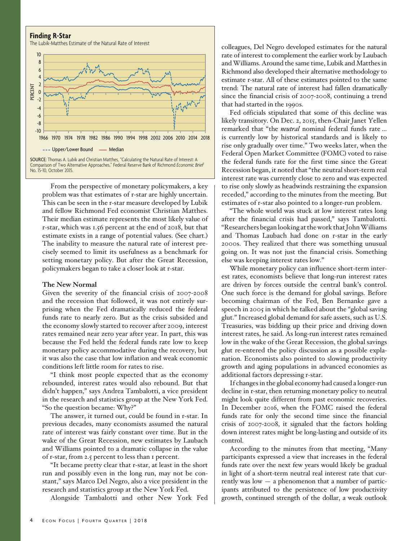#### **Finding R-Star**

The Lubik-Matthes Estimate of the Natural Rate of Interest



SOURCE: Thomas A. Lubik and Christian Matthes, "Calculating the Natural Rate of Interest: A Comparison of Two Alternative Approaches," Federal Reserve Bank of Richmond *Economic Brief* No. 15-10, October 2015.

From the perspective of monetary policymakers, a key problem was that estimates of r-star are highly uncertain. This can be seen in the r-star measure developed by Lubik and fellow Richmond Fed economist Christian Matthes. Their median estimate represents the most likely value of r-star, which was 1.56 percent at the end of 2018, but that estimate exists in a range of potential values. (See chart.) The inability to measure the natural rate of interest precisely seemed to limit its usefulness as a benchmark for setting monetary policy. But after the Great Recession, policymakers began to take a closer look at r-star.

#### **The New Normal**

Given the severity of the financial crisis of 2007-2008 and the recession that followed, it was not entirely surprising when the Fed dramatically reduced the federal funds rate to nearly zero. But as the crisis subsided and the economy slowly started to recover after 2009, interest rates remained near zero year after year. In part, this was because the Fed held the federal funds rate low to keep monetary policy accommodative during the recovery, but it was also the case that low inflation and weak economic conditions left little room for rates to rise.

"I think most people expected that as the economy rebounded, interest rates would also rebound. But that didn't happen," says Andrea Tambalotti, a vice president in the research and statistics group at the New York Fed. "So the question became: Why?"

The answer, it turned out, could be found in r-star. In previous decades, many economists assumed the natural rate of interest was fairly constant over time. But in the wake of the Great Recession, new estimates by Laubach and Williams pointed to a dramatic collapse in the value of r-star, from 2.5 percent to less than 1 percent.

"It became pretty clear that r-star, at least in the short run and possibly even in the long run, may not be constant," says Marco Del Negro, also a vice president in the research and statistics group at the New York Fed.

Alongside Tambalotti and other New York Fed

colleagues, Del Negro developed estimates for the natural rate of interest to complement the earlier work by Laubach and Williams. Around the same time, Lubik and Matthes in Richmond also developed their alternative methodology to estimate r-star. All of these estimates pointed to the same trend: The natural rate of interest had fallen dramatically since the financial crisis of 2007-2008, continuing a trend that had started in the 1990s.

Fed officials stipulated that some of this decline was likely transitory. On Dec. 2, 2015, then-Chair Janet Yellen remarked that "the *neutral* nominal federal funds rate … is currently low by historical standards and is likely to rise only gradually over time." Two weeks later, when the Federal Open Market Committee (FOMC) voted to raise the federal funds rate for the first time since the Great Recession began, it noted that "the neutral short-term real interest rate was currently close to zero and was expected to rise only slowly as headwinds restraining the expansion receded," according to the minutes from the meeting. But estimates of r-star also pointed to a longer-run problem.

"The whole world was stuck at low interest rates long after the financial crisis had passed," says Tambalotti. "Researchers began looking at the work that John Williams and Thomas Laubach had done on r-star in the early 2000s. They realized that there was something unusual going on. It was not just the financial crisis. Something else was keeping interest rates low."

While monetary policy can influence short-term interest rates, economists believe that long-run interest rates are driven by forces outside the central bank's control. One such force is the demand for global savings. Before becoming chairman of the Fed, Ben Bernanke gave a speech in 2005 in which he talked about the "global saving glut." Increased global demand for safe assets, such as U.S. Treasuries, was bidding up their price and driving down interest rates, he said. As long-run interest rates remained low in the wake of the Great Recession, the global savings glut re-entered the policy discussion as a possible explanation. Economists also pointed to slowing productivity growth and aging populations in advanced economies as additional factors depressing r-star.

If changes in the global economy had caused a longer-run decline in r-star, then returning monetary policy to neutral might look quite different from past economic recoveries. In December 2016, when the FOMC raised the federal funds rate for only the second time since the financial crisis of 2007-2008, it signaled that the factors holding down interest rates might be long-lasting and outside of its control.

According to the minutes from that meeting, "Many participants expressed a view that increases in the federal funds rate over the next few years would likely be gradual in light of a short-term neutral real interest rate that currently was low — a phenomenon that a number of participants attributed to the persistence of low productivity growth, continued strength of the dollar, a weak outlook